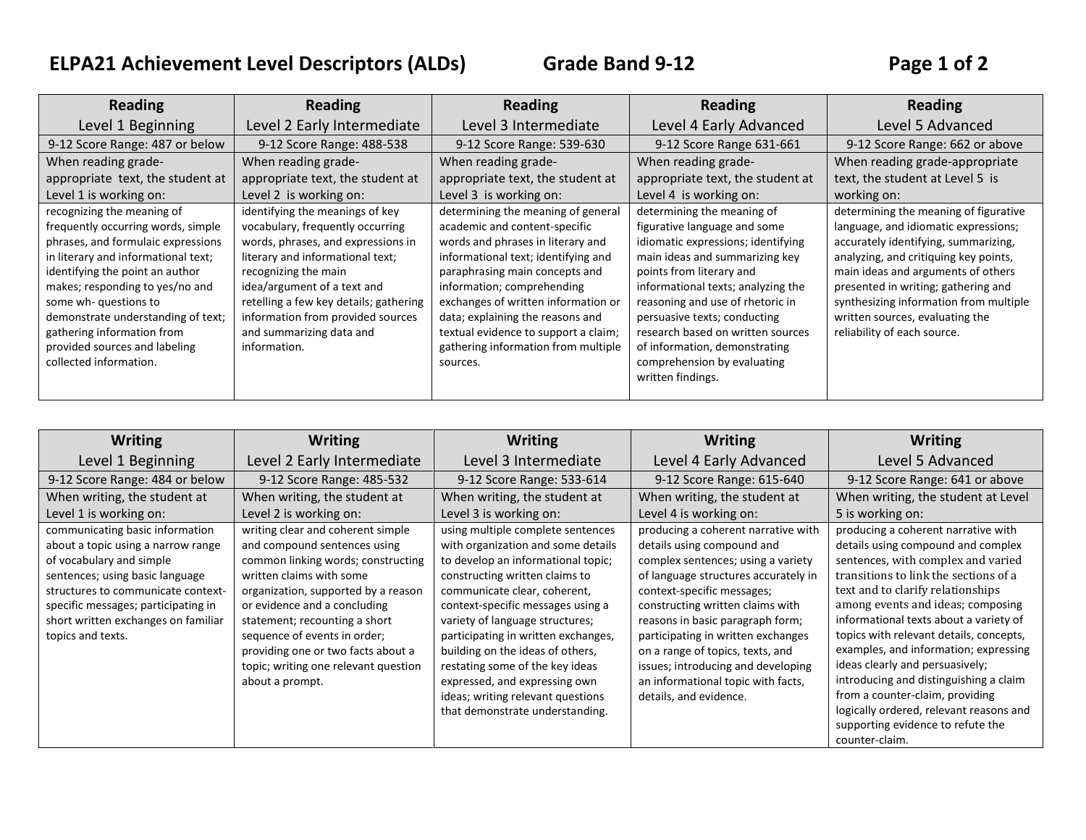## **ELPA21 Achievement Level Descriptors (ALDs) Grade Band 9-12 Page 1 of 2**

| <b>Reading</b>                      | <b>Reading</b>                         | <b>Reading</b>                       | <b>Reading</b>                     | <b>Reading</b>                         |
|-------------------------------------|----------------------------------------|--------------------------------------|------------------------------------|----------------------------------------|
| Level 1 Beginning                   | Level 2 Early Intermediate             | Level 3 Intermediate                 | Level 4 Early Advanced             | Level 5 Advanced                       |
| 9-12 Score Range: 487 or below      | 9-12 Score Range: 488-538              | 9-12 Score Range: 539-630            | 9-12 Score Range 631-661           | 9-12 Score Range: 662 or above         |
| When reading grade-                 | When reading grade-                    | When reading grade-                  | When reading grade-                | When reading grade-appropriate         |
| appropriate text, the student at    | appropriate text, the student at       | appropriate text, the student at     | appropriate text, the student at   | text, the student at Level 5 is        |
| Level 1 is working on:              | Level 2 is working on:                 | Level 3 is working on:               | Level 4 is working on:             | working on:                            |
| recognizing the meaning of          | identifying the meanings of key        | determining the meaning of general   | determining the meaning of         | determining the meaning of figurative  |
| frequently occurring words, simple  | vocabulary, frequently occurring       | academic and content-specific        | figurative language and some       | language, and idiomatic expressions;   |
| phrases, and formulaic expressions  | words, phrases, and expressions in     | words and phrases in literary and    | idiomatic expressions; identifying | accurately identifying, summarizing,   |
| in literary and informational text; | literary and informational text;       | informational text; identifying and  | main ideas and summarizing key     | analyzing, and critiquing key points,  |
| identifying the point an author     | recognizing the main                   | paraphrasing main concepts and       | points from literary and           | main ideas and arguments of others     |
| makes; responding to yes/no and     | idea/argument of a text and            | information; comprehending           | informational texts; analyzing the | presented in writing; gathering and    |
| some wh- questions to               | retelling a few key details; gathering | exchanges of written information or  | reasoning and use of rhetoric in   | synthesizing information from multiple |
| demonstrate understanding of text;  | information from provided sources      | data; explaining the reasons and     | persuasive texts; conducting       | written sources, evaluating the        |
| gathering information from          | and summarizing data and               | textual evidence to support a claim; | research based on written sources  | reliability of each source.            |
| provided sources and labeling       | information.                           | gathering information from multiple  | of information, demonstrating      |                                        |
| collected information.              |                                        | sources.                             | comprehension by evaluating        |                                        |
|                                     |                                        |                                      | written findings.                  |                                        |
|                                     |                                        |                                      |                                    |                                        |

| <b>Writing</b>                                                                                                                                                                                                                                                                | <b>Writing</b>                                                                                                                                                                                                                                                                                                                                                               | <b>Writing</b>                                                                                                                                                                                                                                                                                                                                                                                                                                                                 | <b>Writing</b>                                                                                                                                                                                                                                                                                                                                                                                                                        | <b>Writing</b>                                                                                                                                                                                                                                                                                                                                                                                                                                                                                                                                                                     |
|-------------------------------------------------------------------------------------------------------------------------------------------------------------------------------------------------------------------------------------------------------------------------------|------------------------------------------------------------------------------------------------------------------------------------------------------------------------------------------------------------------------------------------------------------------------------------------------------------------------------------------------------------------------------|--------------------------------------------------------------------------------------------------------------------------------------------------------------------------------------------------------------------------------------------------------------------------------------------------------------------------------------------------------------------------------------------------------------------------------------------------------------------------------|---------------------------------------------------------------------------------------------------------------------------------------------------------------------------------------------------------------------------------------------------------------------------------------------------------------------------------------------------------------------------------------------------------------------------------------|------------------------------------------------------------------------------------------------------------------------------------------------------------------------------------------------------------------------------------------------------------------------------------------------------------------------------------------------------------------------------------------------------------------------------------------------------------------------------------------------------------------------------------------------------------------------------------|
| Level 1 Beginning                                                                                                                                                                                                                                                             | Level 2 Early Intermediate                                                                                                                                                                                                                                                                                                                                                   | Level 3 Intermediate                                                                                                                                                                                                                                                                                                                                                                                                                                                           | Level 4 Early Advanced                                                                                                                                                                                                                                                                                                                                                                                                                | Level 5 Advanced                                                                                                                                                                                                                                                                                                                                                                                                                                                                                                                                                                   |
| 9-12 Score Range: 484 or below                                                                                                                                                                                                                                                | 9-12 Score Range: 485-532                                                                                                                                                                                                                                                                                                                                                    | 9-12 Score Range: 533-614                                                                                                                                                                                                                                                                                                                                                                                                                                                      | 9-12 Score Range: 615-640                                                                                                                                                                                                                                                                                                                                                                                                             | 9-12 Score Range: 641 or above                                                                                                                                                                                                                                                                                                                                                                                                                                                                                                                                                     |
| When writing, the student at                                                                                                                                                                                                                                                  | When writing, the student at                                                                                                                                                                                                                                                                                                                                                 | When writing, the student at                                                                                                                                                                                                                                                                                                                                                                                                                                                   | When writing, the student at                                                                                                                                                                                                                                                                                                                                                                                                          | When writing, the student at Level                                                                                                                                                                                                                                                                                                                                                                                                                                                                                                                                                 |
| Level 1 is working on:                                                                                                                                                                                                                                                        | Level 2 is working on:                                                                                                                                                                                                                                                                                                                                                       | Level 3 is working on:                                                                                                                                                                                                                                                                                                                                                                                                                                                         | Level 4 is working on:                                                                                                                                                                                                                                                                                                                                                                                                                | 5 is working on:                                                                                                                                                                                                                                                                                                                                                                                                                                                                                                                                                                   |
| communicating basic information<br>about a topic using a narrow range<br>of vocabulary and simple<br>sentences; using basic language<br>structures to communicate context-<br>specific messages; participating in<br>short written exchanges on familiar<br>topics and texts. | writing clear and coherent simple<br>and compound sentences using<br>common linking words; constructing<br>written claims with some<br>organization, supported by a reason<br>or evidence and a concluding<br>statement; recounting a short<br>sequence of events in order;<br>providing one or two facts about a<br>topic; writing one relevant question<br>about a prompt. | using multiple complete sentences<br>with organization and some details<br>to develop an informational topic;<br>constructing written claims to<br>communicate clear, coherent,<br>context-specific messages using a<br>variety of language structures;<br>participating in written exchanges,<br>building on the ideas of others,<br>restating some of the key ideas<br>expressed, and expressing own<br>ideas; writing relevant questions<br>that demonstrate understanding. | producing a coherent narrative with<br>details using compound and<br>complex sentences; using a variety<br>of language structures accurately in<br>context-specific messages;<br>constructing written claims with<br>reasons in basic paragraph form;<br>participating in written exchanges<br>on a range of topics, texts, and<br>issues; introducing and developing<br>an informational topic with facts,<br>details, and evidence. | producing a coherent narrative with<br>details using compound and complex<br>sentences, with complex and varied<br>transitions to link the sections of a<br>text and to clarify relationships<br>among events and ideas; composing<br>informational texts about a variety of<br>topics with relevant details, concepts,<br>examples, and information; expressing<br>ideas clearly and persuasively;<br>introducing and distinguishing a claim<br>from a counter-claim, providing<br>logically ordered, relevant reasons and<br>supporting evidence to refute the<br>counter-claim. |